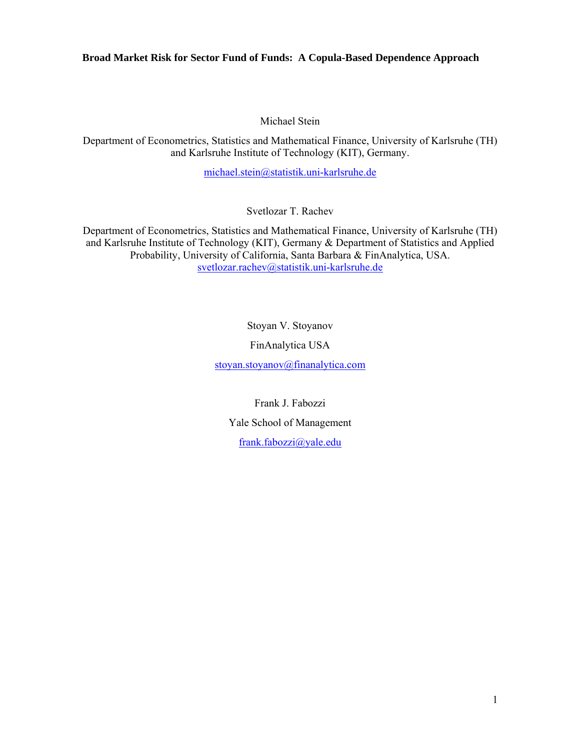Michael Stein

Department of Econometrics, Statistics and Mathematical Finance, University of Karlsruhe (TH) and Karlsruhe Institute of Technology (KIT), Germany.

michael.stein@statistik.uni-karlsruhe.de

Svetlozar T. Rachev

Department of Econometrics, Statistics and Mathematical Finance, University of Karlsruhe (TH) and Karlsruhe Institute of Technology (KIT), Germany & Department of Statistics and Applied Probability, University of California, Santa Barbara & FinAnalytica, USA. svetlozar.rachev@statistik.uni-karlsruhe.de

> Stoyan V. Stoyanov FinAnalytica USA

stoyan.stoyanov@finanalytica.com

Frank J. Fabozzi Yale School of Management frank.fabozzi@yale.edu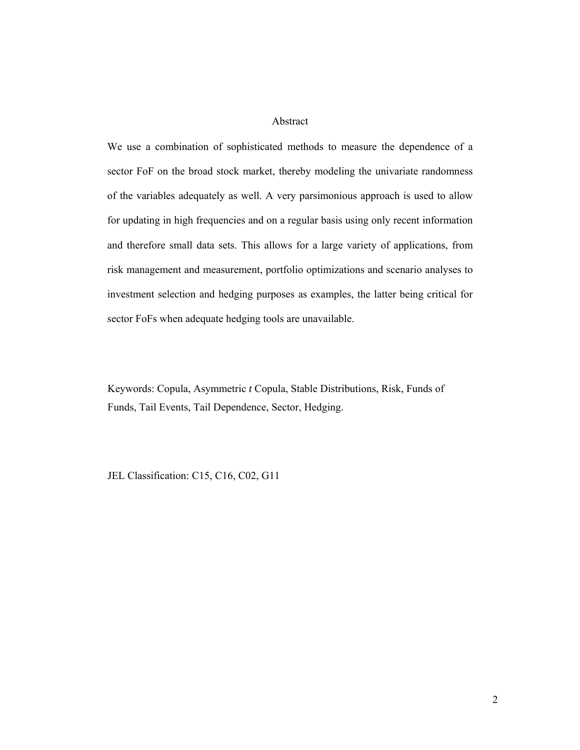Abstract

We use a combination of sophisticated methods to measure the dependence of a sector FoF on the broad stock market, thereby modeling the univariate randomness of the variables adequately as well. A very parsimonious approach is used to allow for updating in high frequencies and on a regular basis using only recent information and therefore small data sets. This allows for a large variety of applications, from risk management and measurement, portfolio optimizations and scenario analyses to investment selection and hedging purposes as examples, the latter being critical for sector FoFs when adequate hedging tools are unavailable.

Keywords: Copula, Asymmetric *t* Copula, Stable Distributions, Risk, Funds of Funds, Tail Events, Tail Dependence, Sector, Hedging.

JEL Classification: C15, C16, C02, G11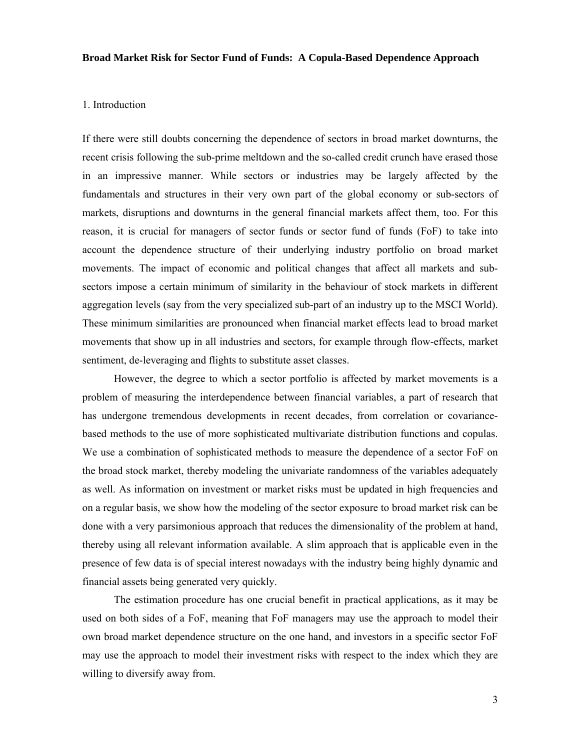### 1. Introduction

If there were still doubts concerning the dependence of sectors in broad market downturns, the recent crisis following the sub-prime meltdown and the so-called credit crunch have erased those in an impressive manner. While sectors or industries may be largely affected by the fundamentals and structures in their very own part of the global economy or sub-sectors of markets, disruptions and downturns in the general financial markets affect them, too. For this reason, it is crucial for managers of sector funds or sector fund of funds (FoF) to take into account the dependence structure of their underlying industry portfolio on broad market movements. The impact of economic and political changes that affect all markets and subsectors impose a certain minimum of similarity in the behaviour of stock markets in different aggregation levels (say from the very specialized sub-part of an industry up to the MSCI World). These minimum similarities are pronounced when financial market effects lead to broad market movements that show up in all industries and sectors, for example through flow-effects, market sentiment, de-leveraging and flights to substitute asset classes.

However, the degree to which a sector portfolio is affected by market movements is a problem of measuring the interdependence between financial variables, a part of research that has undergone tremendous developments in recent decades, from correlation or covariancebased methods to the use of more sophisticated multivariate distribution functions and copulas. We use a combination of sophisticated methods to measure the dependence of a sector FoF on the broad stock market, thereby modeling the univariate randomness of the variables adequately as well. As information on investment or market risks must be updated in high frequencies and on a regular basis, we show how the modeling of the sector exposure to broad market risk can be done with a very parsimonious approach that reduces the dimensionality of the problem at hand, thereby using all relevant information available. A slim approach that is applicable even in the presence of few data is of special interest nowadays with the industry being highly dynamic and financial assets being generated very quickly.

The estimation procedure has one crucial benefit in practical applications, as it may be used on both sides of a FoF, meaning that FoF managers may use the approach to model their own broad market dependence structure on the one hand, and investors in a specific sector FoF may use the approach to model their investment risks with respect to the index which they are willing to diversify away from.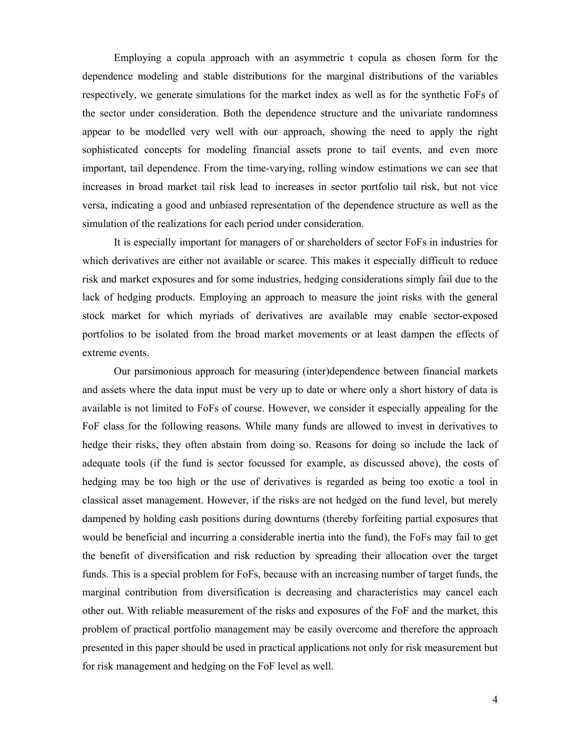Employing a copula approach with an asymmetric t copula as chosen form for the dependence modeling and stable distributions for the marginal distributions of the variables respectively, we generate simulations for the market index as well as for the synthetic FoFs of the sector under consideration. Both the dependence structure and the univariate randomness appear to be modelled very well with our approach, showing the need to apply the right sophisticated concepts for modeling financial assets prone to tail events, and even more important, tail dependence. From the time-varying, rolling window estimations we can see that increases in broad market tail risk lead to increases in sector portfolio tail risk, but not vice versa, indicating a good and unbiased representation of the dependence structure as well as the simulation of the realizations for each period under consideration.

It is especially important for managers of or shareholders of sector FoFs in industries for which derivatives are either not available or scarce. This makes it especially difficult to reduce risk and market exposures and for some industries, hedging considerations simply fail due to the lack of hedging products. Employing an approach to measure the joint risks with the general stock market for which myriads of derivatives are available may enable sector-exposed portfolios to be isolated from the broad market movements or at least dampen the effects of extreme events.

Our parsimonious approach for measuring (inter)dependence between financial markets and assets where the data input must be very up to date or where only a short history of data is available is not limited to FoFs of course. However, we consider it especially appealing for the FoF class for the following reasons. While many funds are allowed to invest in derivatives to hedge their risks, they often abstain from doing so. Reasons for doing so include the lack of adequate tools (if the fund is sector focussed for example, as discussed above), the costs of hedging may be too high or the use of derivatives is regarded as being too exotic a tool in classical asset management. However, if the risks are not hedged on the fund level, but merely dampened by holding cash positions during downturns (thereby forfeiting partial exposures that would be beneficial and incurring a considerable inertia into the fund), the FoFs may fail to get the benefit of diversification and risk reduction by spreading their allocation over the target funds. This is a special problem for FoFs, because with an increasing number of target funds, the marginal contribution from diversification is decreasing and characteristics may cancel each other out. With reliable measurement of the risks and exposures of the FoF and the market, this problem of practical portfolio management may be easily overcome and therefore the approach presented in this paper should be used in practical applications not only for risk measurement but for risk management and hedging on the FoF level as well.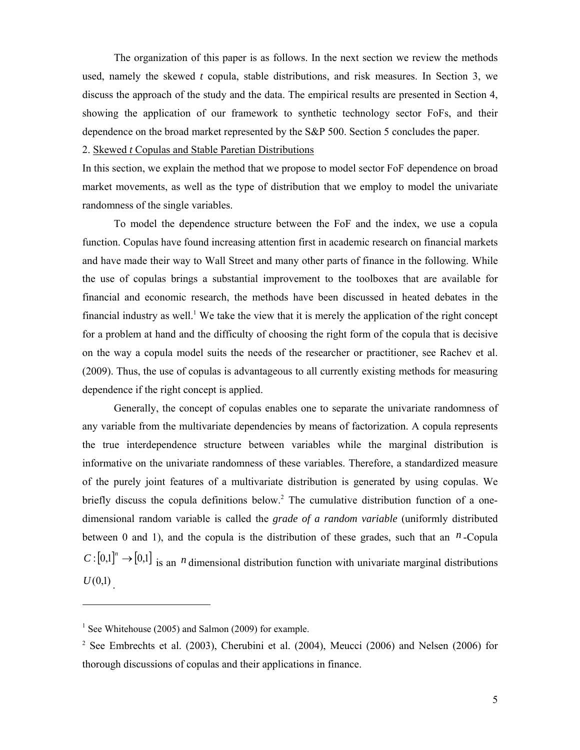The organization of this paper is as follows. In the next section we review the methods used, namely the skewed *t* copula, stable distributions, and risk measures. In Section 3, we discuss the approach of the study and the data. The empirical results are presented in Section 4, showing the application of our framework to synthetic technology sector FoFs, and their dependence on the broad market represented by the S&P 500. Section 5 concludes the paper.

#### 2. Skewed *t* Copulas and Stable Paretian Distributions

In this section, we explain the method that we propose to model sector FoF dependence on broad market movements, as well as the type of distribution that we employ to model the univariate randomness of the single variables.

To model the dependence structure between the FoF and the index, we use a copula function. Copulas have found increasing attention first in academic research on financial markets and have made their way to Wall Street and many other parts of finance in the following. While the use of copulas brings a substantial improvement to the toolboxes that are available for financial and economic research, the methods have been discussed in heated debates in the financial industry as well.<sup>1</sup> We take the view that it is merely the application of the right concept for a problem at hand and the difficulty of choosing the right form of the copula that is decisive on the way a copula model suits the needs of the researcher or practitioner, see Rachev et al. (2009). Thus, the use of copulas is advantageous to all currently existing methods for measuring dependence if the right concept is applied.

Generally, the concept of copulas enables one to separate the univariate randomness of any variable from the multivariate dependencies by means of factorization. A copula represents the true interdependence structure between variables while the marginal distribution is informative on the univariate randomness of these variables. Therefore, a standardized measure of the purely joint features of a multivariate distribution is generated by using copulas. We briefly discuss the copula definitions below.<sup>2</sup> The cumulative distribution function of a onedimensional random variable is called the *grade of a random variable* (uniformly distributed between 0 and 1), and the copula is the distribution of these grades, such that an  $<sup>n</sup>$ -Copula</sup>  $C: [0,1]^n \to [0,1]$  is an *n* dimensional distribution function with univariate marginal distributions  $U(0,1)$ 

 $\overline{a}$ 

<sup>&</sup>lt;sup>1</sup> See Whitehouse (2005) and Salmon (2009) for example.

<sup>&</sup>lt;sup>2</sup> See Embrechts et al. (2003), Cherubini et al. (2004), Meucci (2006) and Nelsen (2006) for thorough discussions of copulas and their applications in finance.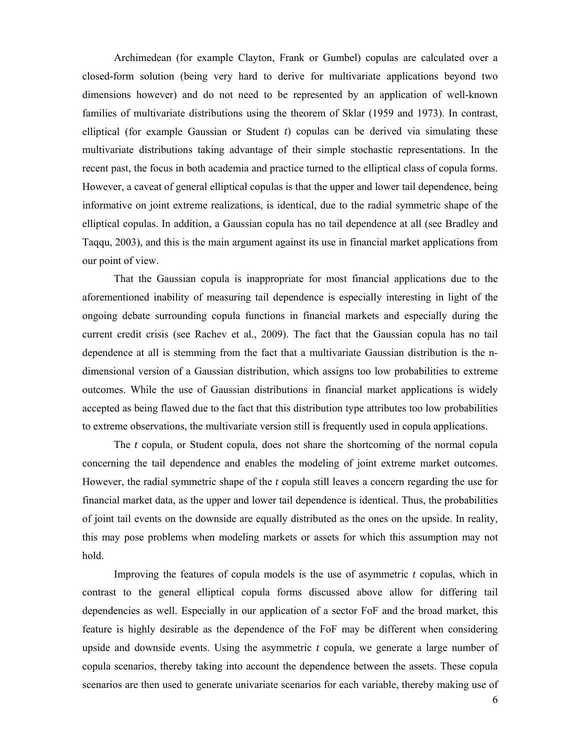Archimedean (for example Clayton, Frank or Gumbel) copulas are calculated over a closed-form solution (being very hard to derive for multivariate applications beyond two dimensions however) and do not need to be represented by an application of well-known families of multivariate distributions using the theorem of Sklar (1959 and 1973). In contrast, elliptical (for example Gaussian or Student *t*) copulas can be derived via simulating these multivariate distributions taking advantage of their simple stochastic representations. In the recent past, the focus in both academia and practice turned to the elliptical class of copula forms. However, a caveat of general elliptical copulas is that the upper and lower tail dependence, being informative on joint extreme realizations, is identical, due to the radial symmetric shape of the elliptical copulas. In addition, a Gaussian copula has no tail dependence at all (see Bradley and Taqqu, 2003), and this is the main argument against its use in financial market applications from our point of view.

That the Gaussian copula is inappropriate for most financial applications due to the aforementioned inability of measuring tail dependence is especially interesting in light of the ongoing debate surrounding copula functions in financial markets and especially during the current credit crisis (see Rachev et al., 2009). The fact that the Gaussian copula has no tail dependence at all is stemming from the fact that a multivariate Gaussian distribution is the ndimensional version of a Gaussian distribution, which assigns too low probabilities to extreme outcomes. While the use of Gaussian distributions in financial market applications is widely accepted as being flawed due to the fact that this distribution type attributes too low probabilities to extreme observations, the multivariate version still is frequently used in copula applications.

The *t* copula, or Student copula, does not share the shortcoming of the normal copula concerning the tail dependence and enables the modeling of joint extreme market outcomes. However, the radial symmetric shape of the *t* copula still leaves a concern regarding the use for financial market data, as the upper and lower tail dependence is identical. Thus, the probabilities of joint tail events on the downside are equally distributed as the ones on the upside. In reality, this may pose problems when modeling markets or assets for which this assumption may not hold.

Improving the features of copula models is the use of asymmetric *t* copulas, which in contrast to the general elliptical copula forms discussed above allow for differing tail dependencies as well. Especially in our application of a sector FoF and the broad market, this feature is highly desirable as the dependence of the FoF may be different when considering upside and downside events. Using the asymmetric *t* copula, we generate a large number of copula scenarios, thereby taking into account the dependence between the assets. These copula scenarios are then used to generate univariate scenarios for each variable, thereby making use of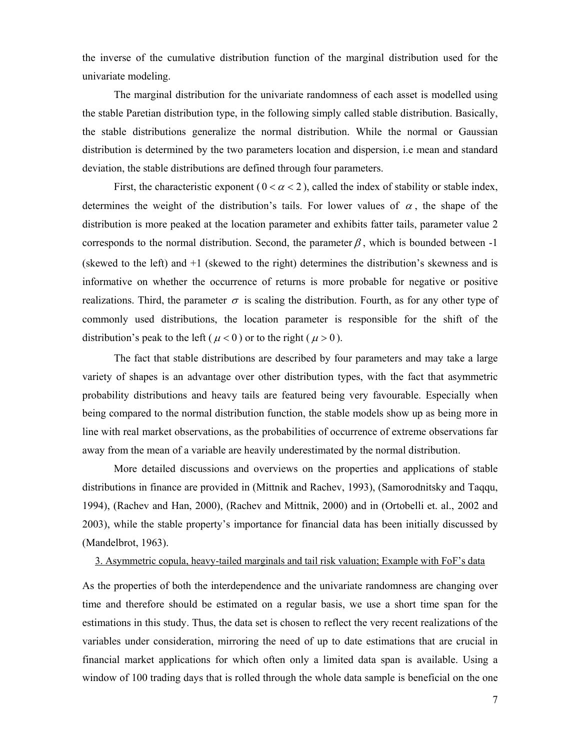the inverse of the cumulative distribution function of the marginal distribution used for the univariate modeling.

The marginal distribution for the univariate randomness of each asset is modelled using the stable Paretian distribution type, in the following simply called stable distribution. Basically, the stable distributions generalize the normal distribution. While the normal or Gaussian distribution is determined by the two parameters location and dispersion, i.e mean and standard deviation, the stable distributions are defined through four parameters.

First, the characteristic exponent ( $0 < \alpha < 2$ ), called the index of stability or stable index, determines the weight of the distribution's tails. For lower values of  $\alpha$ , the shape of the distribution is more peaked at the location parameter and exhibits fatter tails, parameter value 2 corresponds to the normal distribution. Second, the parameter  $\beta$ , which is bounded between -1 (skewed to the left) and +1 (skewed to the right) determines the distribution's skewness and is informative on whether the occurrence of returns is more probable for negative or positive realizations. Third, the parameter  $\sigma$  is scaling the distribution. Fourth, as for any other type of commonly used distributions, the location parameter is responsible for the shift of the distribution's peak to the left ( $\mu$  < 0) or to the right ( $\mu$  > 0).

The fact that stable distributions are described by four parameters and may take a large variety of shapes is an advantage over other distribution types, with the fact that asymmetric probability distributions and heavy tails are featured being very favourable. Especially when being compared to the normal distribution function, the stable models show up as being more in line with real market observations, as the probabilities of occurrence of extreme observations far away from the mean of a variable are heavily underestimated by the normal distribution.

More detailed discussions and overviews on the properties and applications of stable distributions in finance are provided in (Mittnik and Rachev, 1993), (Samorodnitsky and Taqqu, 1994), (Rachev and Han, 2000), (Rachev and Mittnik, 2000) and in (Ortobelli et. al., 2002 and 2003), while the stable property's importance for financial data has been initially discussed by (Mandelbrot, 1963).

#### 3. Asymmetric copula, heavy-tailed marginals and tail risk valuation; Example with FoF's data

As the properties of both the interdependence and the univariate randomness are changing over time and therefore should be estimated on a regular basis, we use a short time span for the estimations in this study. Thus, the data set is chosen to reflect the very recent realizations of the variables under consideration, mirroring the need of up to date estimations that are crucial in financial market applications for which often only a limited data span is available. Using a window of 100 trading days that is rolled through the whole data sample is beneficial on the one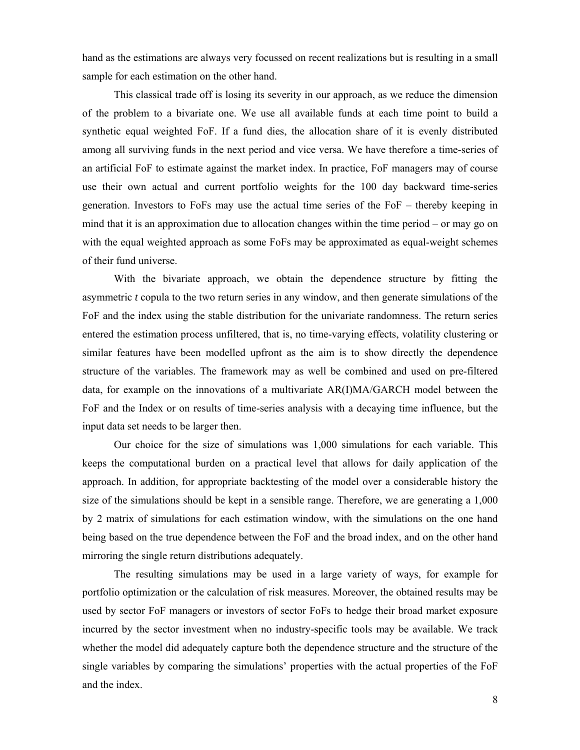hand as the estimations are always very focussed on recent realizations but is resulting in a small sample for each estimation on the other hand.

This classical trade off is losing its severity in our approach, as we reduce the dimension of the problem to a bivariate one. We use all available funds at each time point to build a synthetic equal weighted FoF. If a fund dies, the allocation share of it is evenly distributed among all surviving funds in the next period and vice versa. We have therefore a time-series of an artificial FoF to estimate against the market index. In practice, FoF managers may of course use their own actual and current portfolio weights for the 100 day backward time-series generation. Investors to FoFs may use the actual time series of the FoF – thereby keeping in mind that it is an approximation due to allocation changes within the time period – or may go on with the equal weighted approach as some FoFs may be approximated as equal-weight schemes of their fund universe.

With the bivariate approach, we obtain the dependence structure by fitting the asymmetric *t* copula to the two return series in any window, and then generate simulations of the FoF and the index using the stable distribution for the univariate randomness. The return series entered the estimation process unfiltered, that is, no time-varying effects, volatility clustering or similar features have been modelled upfront as the aim is to show directly the dependence structure of the variables. The framework may as well be combined and used on pre-filtered data, for example on the innovations of a multivariate AR(I)MA/GARCH model between the FoF and the Index or on results of time-series analysis with a decaying time influence, but the input data set needs to be larger then.

Our choice for the size of simulations was 1,000 simulations for each variable. This keeps the computational burden on a practical level that allows for daily application of the approach. In addition, for appropriate backtesting of the model over a considerable history the size of the simulations should be kept in a sensible range. Therefore, we are generating a 1,000 by 2 matrix of simulations for each estimation window, with the simulations on the one hand being based on the true dependence between the FoF and the broad index, and on the other hand mirroring the single return distributions adequately.

The resulting simulations may be used in a large variety of ways, for example for portfolio optimization or the calculation of risk measures. Moreover, the obtained results may be used by sector FoF managers or investors of sector FoFs to hedge their broad market exposure incurred by the sector investment when no industry-specific tools may be available. We track whether the model did adequately capture both the dependence structure and the structure of the single variables by comparing the simulations' properties with the actual properties of the FoF and the index.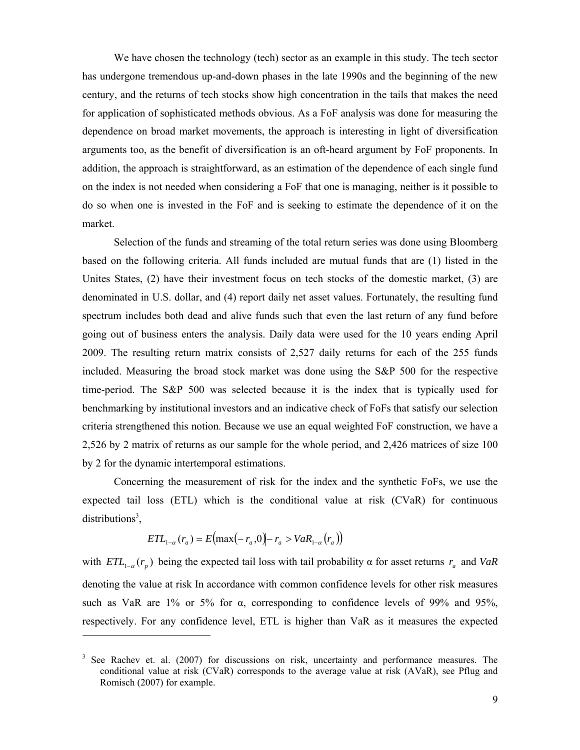We have chosen the technology (tech) sector as an example in this study. The tech sector has undergone tremendous up-and-down phases in the late 1990s and the beginning of the new century, and the returns of tech stocks show high concentration in the tails that makes the need for application of sophisticated methods obvious. As a FoF analysis was done for measuring the dependence on broad market movements, the approach is interesting in light of diversification arguments too, as the benefit of diversification is an oft-heard argument by FoF proponents. In addition, the approach is straightforward, as an estimation of the dependence of each single fund on the index is not needed when considering a FoF that one is managing, neither is it possible to do so when one is invested in the FoF and is seeking to estimate the dependence of it on the market.

Selection of the funds and streaming of the total return series was done using Bloomberg based on the following criteria. All funds included are mutual funds that are (1) listed in the Unites States, (2) have their investment focus on tech stocks of the domestic market, (3) are denominated in U.S. dollar, and (4) report daily net asset values. Fortunately, the resulting fund spectrum includes both dead and alive funds such that even the last return of any fund before going out of business enters the analysis. Daily data were used for the 10 years ending April 2009. The resulting return matrix consists of 2,527 daily returns for each of the 255 funds included. Measuring the broad stock market was done using the S&P 500 for the respective time-period. The S&P 500 was selected because it is the index that is typically used for benchmarking by institutional investors and an indicative check of FoFs that satisfy our selection criteria strengthened this notion. Because we use an equal weighted FoF construction, we have a 2,526 by 2 matrix of returns as our sample for the whole period, and 2,426 matrices of size 100 by 2 for the dynamic intertemporal estimations.

Concerning the measurement of risk for the index and the synthetic FoFs, we use the expected tail loss (ETL) which is the conditional value at risk (CVaR) for continuous  $distributions<sup>3</sup>$ ,

$$
ETL_{1-\alpha}(r_a) = E\left(\max(-r_a, 0) - r_a > VaR_{1-\alpha}(r_a)\right)
$$

 $\mathcal{L}$ 

 $\overline{a}$ 

with  $ETL_{1-\alpha}(r_n)$  being the expected tail loss with tail probability  $\alpha$  for asset returns  $r_a$  and *VaR* denoting the value at risk In accordance with common confidence levels for other risk measures such as VaR are  $1\%$  or 5% for  $\alpha$ , corresponding to confidence levels of 99% and 95%, respectively. For any confidence level, ETL is higher than VaR as it measures the expected

<sup>&</sup>lt;sup>3</sup> See Rachev et. al. (2007) for discussions on risk, uncertainty and performance measures. The conditional value at risk (CVaR) corresponds to the average value at risk (AVaR), see Pflug and Romisch (2007) for example.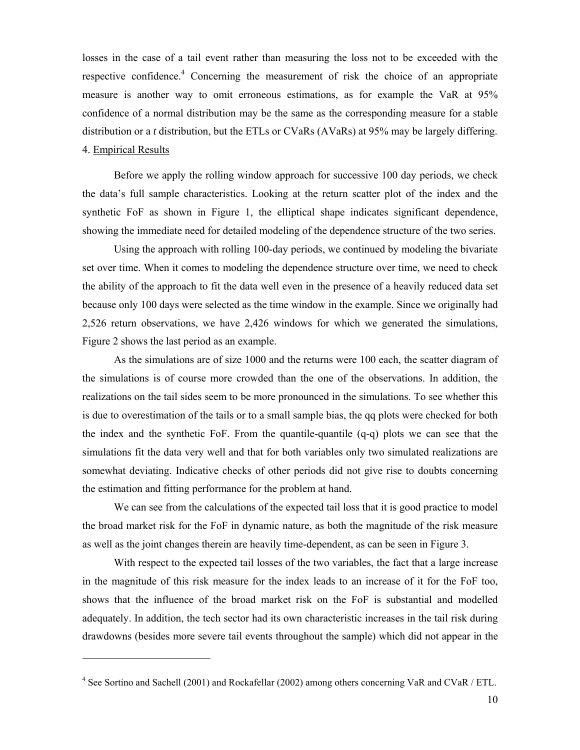losses in the case of a tail event rather than measuring the loss not to be exceeded with the respective confidence.<sup>4</sup> Concerning the measurement of risk the choice of an appropriate measure is another way to omit erroneous estimations, as for example the VaR at 95% confidence of a normal distribution may be the same as the corresponding measure for a stable distribution or a *t* distribution, but the ETLs or CVaRs (AVaRs) at 95% may be largely differing. 4. Empirical Results

Before we apply the rolling window approach for successive 100 day periods, we check the data's full sample characteristics. Looking at the return scatter plot of the index and the synthetic FoF as shown in Figure 1, the elliptical shape indicates significant dependence, showing the immediate need for detailed modeling of the dependence structure of the two series.

Using the approach with rolling 100-day periods, we continued by modeling the bivariate set over time. When it comes to modeling the dependence structure over time, we need to check the ability of the approach to fit the data well even in the presence of a heavily reduced data set because only 100 days were selected as the time window in the example. Since we originally had 2,526 return observations, we have 2,426 windows for which we generated the simulations, Figure 2 shows the last period as an example.

As the simulations are of size 1000 and the returns were 100 each, the scatter diagram of the simulations is of course more crowded than the one of the observations. In addition, the realizations on the tail sides seem to be more pronounced in the simulations. To see whether this is due to overestimation of the tails or to a small sample bias, the qq plots were checked for both the index and the synthetic FoF. From the quantile-quantile (q-q) plots we can see that the simulations fit the data very well and that for both variables only two simulated realizations are somewhat deviating. Indicative checks of other periods did not give rise to doubts concerning the estimation and fitting performance for the problem at hand.

We can see from the calculations of the expected tail loss that it is good practice to model the broad market risk for the FoF in dynamic nature, as both the magnitude of the risk measure as well as the joint changes therein are heavily time-dependent, as can be seen in Figure 3.

With respect to the expected tail losses of the two variables, the fact that a large increase in the magnitude of this risk measure for the index leads to an increase of it for the FoF too, shows that the influence of the broad market risk on the FoF is substantial and modelled adequately. In addition, the tech sector had its own characteristic increases in the tail risk during drawdowns (besides more severe tail events throughout the sample) which did not appear in the

 $\overline{a}$ 

<sup>&</sup>lt;sup>4</sup> See Sortino and Sachell (2001) and Rockafellar (2002) among others concerning VaR and CVaR / ETL.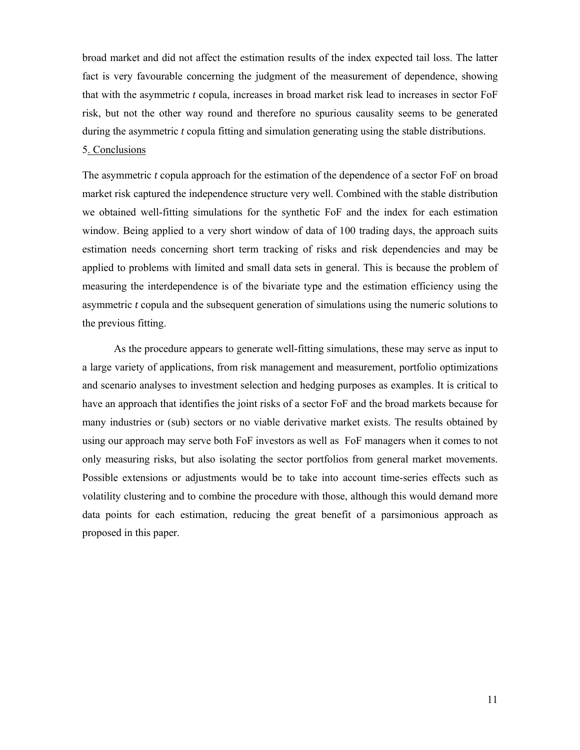broad market and did not affect the estimation results of the index expected tail loss. The latter fact is very favourable concerning the judgment of the measurement of dependence, showing that with the asymmetric *t* copula, increases in broad market risk lead to increases in sector FoF risk, but not the other way round and therefore no spurious causality seems to be generated during the asymmetric *t* copula fitting and simulation generating using the stable distributions.

# 5. Conclusions

The asymmetric *t* copula approach for the estimation of the dependence of a sector FoF on broad market risk captured the independence structure very well. Combined with the stable distribution we obtained well-fitting simulations for the synthetic FoF and the index for each estimation window. Being applied to a very short window of data of 100 trading days, the approach suits estimation needs concerning short term tracking of risks and risk dependencies and may be applied to problems with limited and small data sets in general. This is because the problem of measuring the interdependence is of the bivariate type and the estimation efficiency using the asymmetric *t* copula and the subsequent generation of simulations using the numeric solutions to the previous fitting.

As the procedure appears to generate well-fitting simulations, these may serve as input to a large variety of applications, from risk management and measurement, portfolio optimizations and scenario analyses to investment selection and hedging purposes as examples. It is critical to have an approach that identifies the joint risks of a sector FoF and the broad markets because for many industries or (sub) sectors or no viable derivative market exists. The results obtained by using our approach may serve both FoF investors as well as FoF managers when it comes to not only measuring risks, but also isolating the sector portfolios from general market movements. Possible extensions or adjustments would be to take into account time-series effects such as volatility clustering and to combine the procedure with those, although this would demand more data points for each estimation, reducing the great benefit of a parsimonious approach as proposed in this paper.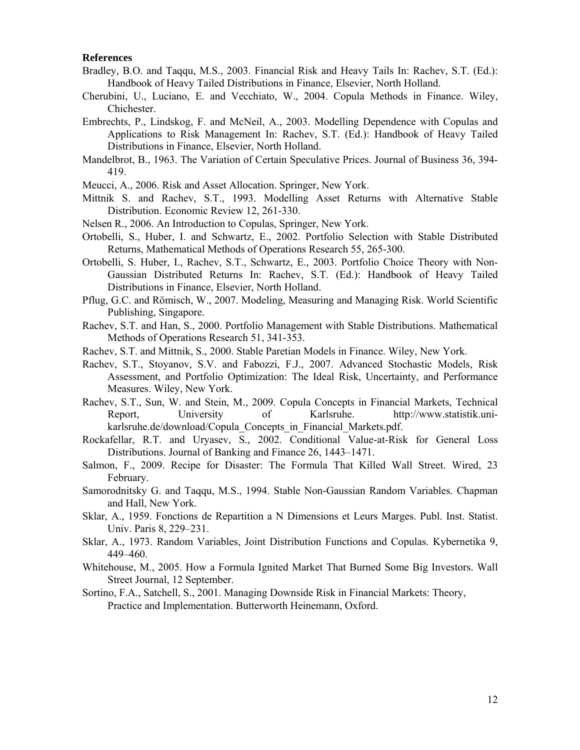## **References**

- Bradley, B.O. and Taqqu, M.S., 2003. Financial Risk and Heavy Tails In: Rachev, S.T. (Ed.): Handbook of Heavy Tailed Distributions in Finance, Elsevier, North Holland.
- Cherubini, U., Luciano, E. and Vecchiato, W., 2004. Copula Methods in Finance. Wiley, Chichester.
- Embrechts, P., Lindskog, F. and McNeil, A., 2003. Modelling Dependence with Copulas and Applications to Risk Management In: Rachev, S.T. (Ed.): Handbook of Heavy Tailed Distributions in Finance, Elsevier, North Holland.
- Mandelbrot, B., 1963. The Variation of Certain Speculative Prices. Journal of Business 36, 394- 419.
- Meucci, A., 2006. Risk and Asset Allocation. Springer, New York.
- Mittnik S. and Rachev, S.T., 1993. Modelling Asset Returns with Alternative Stable Distribution. Economic Review 12, 261-330.
- Nelsen R., 2006. An Introduction to Copulas, Springer, New York.
- Ortobelli, S., Huber, I. and Schwartz, E., 2002. Portfolio Selection with Stable Distributed Returns, Mathematical Methods of Operations Research 55, 265-300.
- Ortobelli, S. Huber, I., Rachev, S.T., Schwartz, E., 2003. Portfolio Choice Theory with Non-Gaussian Distributed Returns In: Rachev, S.T. (Ed.): Handbook of Heavy Tailed Distributions in Finance, Elsevier, North Holland.
- Pflug, G.C. and Römisch, W., 2007. Modeling, Measuring and Managing Risk. World Scientific Publishing, Singapore.
- Rachev, S.T. and Han, S., 2000. Portfolio Management with Stable Distributions. Mathematical Methods of Operations Research 51, 341-353.
- Rachev, S.T. and Mittnik, S., 2000. Stable Paretian Models in Finance. Wiley, New York.
- Rachev, S.T., Stoyanov, S.V. and Fabozzi, F.J., 2007. Advanced Stochastic Models, Risk Assessment, and Portfolio Optimization: The Ideal Risk, Uncertainty, and Performance Measures. Wiley, New York.
- Rachev, S.T., Sun, W. and Stein, M., 2009. Copula Concepts in Financial Markets, Technical Report, University of Karlsruhe. http://www.statistik.unikarlsruhe.de/download/Copula\_Concepts\_in\_Financial\_Markets.pdf.
- Rockafellar, R.T. and Uryasev, S., 2002. Conditional Value-at-Risk for General Loss Distributions. Journal of Banking and Finance 26, 1443–1471.
- Salmon, F., 2009. Recipe for Disaster: The Formula That Killed Wall Street. Wired, 23 February.
- Samorodnitsky G. and Taqqu, M.S., 1994. Stable Non-Gaussian Random Variables. Chapman and Hall, New York.
- Sklar, A., 1959. Fonctions de Repartition a N Dimensions et Leurs Marges. Publ. Inst. Statist. Univ. Paris 8, 229–231.
- Sklar, A., 1973. Random Variables, Joint Distribution Functions and Copulas. Kybernetika 9, 449–460.
- Whitehouse, M., 2005. How a Formula Ignited Market That Burned Some Big Investors. Wall Street Journal, 12 September.
- Sortino, F.A., Satchell, S., 2001. Managing Downside Risk in Financial Markets: Theory, Practice and Implementation. Butterworth Heinemann, Oxford.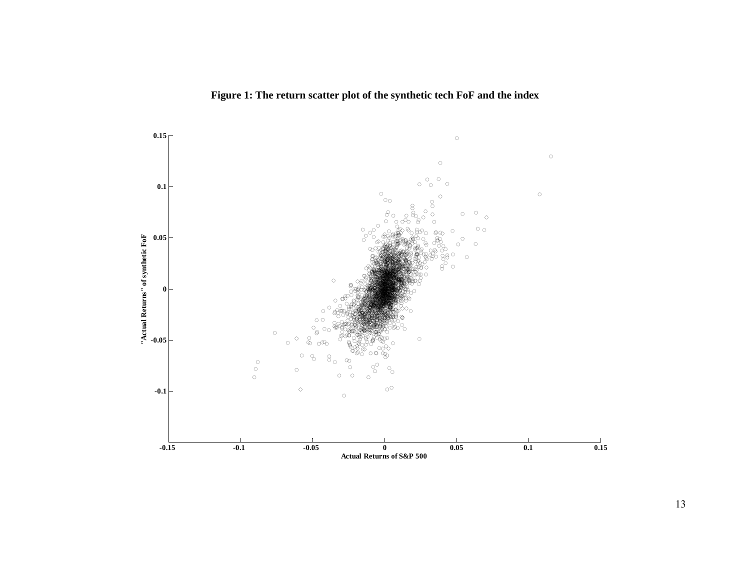

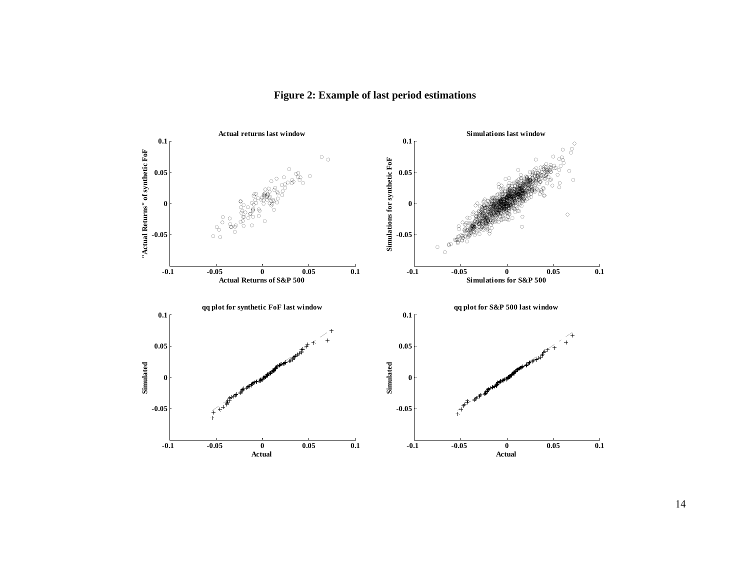